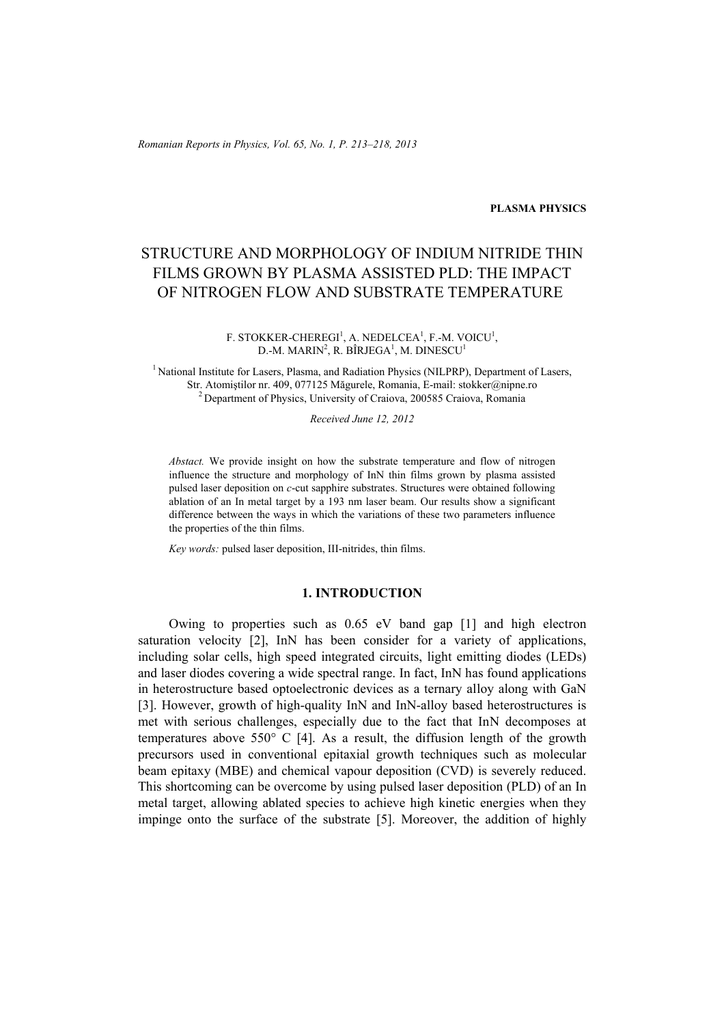*Romanian Reports in Physics, Vol. 65, No. 1, P. 213–218, 2013*

#### **PLASMA PHYSICS**

# STRUCTURE AND MORPHOLOGY OF INDIUM NITRIDE THIN FILMS GROWN BY PLASMA ASSISTED PLD: THE IMPACT OF NITROGEN FLOW AND SUBSTRATE TEMPERATURE

F. STOKKER-CHEREGI<sup>1</sup>, A. NEDELCEA<sup>1</sup>, F.-M. VOICU<sup>1</sup>, D.-M. MARIN $^2$ , R. BÎRJEGA $^1$ , M. DINESCU $^1$ 

<sup>1</sup> National Institute for Lasers, Plasma, and Radiation Physics (NILPRP), Department of Lasers, Str. Atomiştilor nr. 409, 077125 Măgurele, Romania, E-mail: stokker@nipne.ro 2 Department of Physics, University of Craiova, 200585 Craiova, Romania

*Received June 12, 2012* 

*Abstact.* We provide insight on how the substrate temperature and flow of nitrogen influence the structure and morphology of InN thin films grown by plasma assisted pulsed laser deposition on *c*-cut sapphire substrates. Structures were obtained following ablation of an In metal target by a 193 nm laser beam. Our results show a significant difference between the ways in which the variations of these two parameters influence the properties of the thin films.

*Key words:* pulsed laser deposition, III-nitrides, thin films.

## **1. INTRODUCTION**

Owing to properties such as 0.65 eV band gap [1] and high electron saturation velocity [2], InN has been consider for a variety of applications, including solar cells, high speed integrated circuits, light emitting diodes (LEDs) and laser diodes covering a wide spectral range. In fact, InN has found applications in heterostructure based optoelectronic devices as a ternary alloy along with GaN [3]. However, growth of high-quality InN and InN-alloy based heterostructures is met with serious challenges, especially due to the fact that InN decomposes at temperatures above 550° C [4]. As a result, the diffusion length of the growth precursors used in conventional epitaxial growth techniques such as molecular beam epitaxy (MBE) and chemical vapour deposition (CVD) is severely reduced. This shortcoming can be overcome by using pulsed laser deposition (PLD) of an In metal target, allowing ablated species to achieve high kinetic energies when they impinge onto the surface of the substrate [5]. Moreover, the addition of highly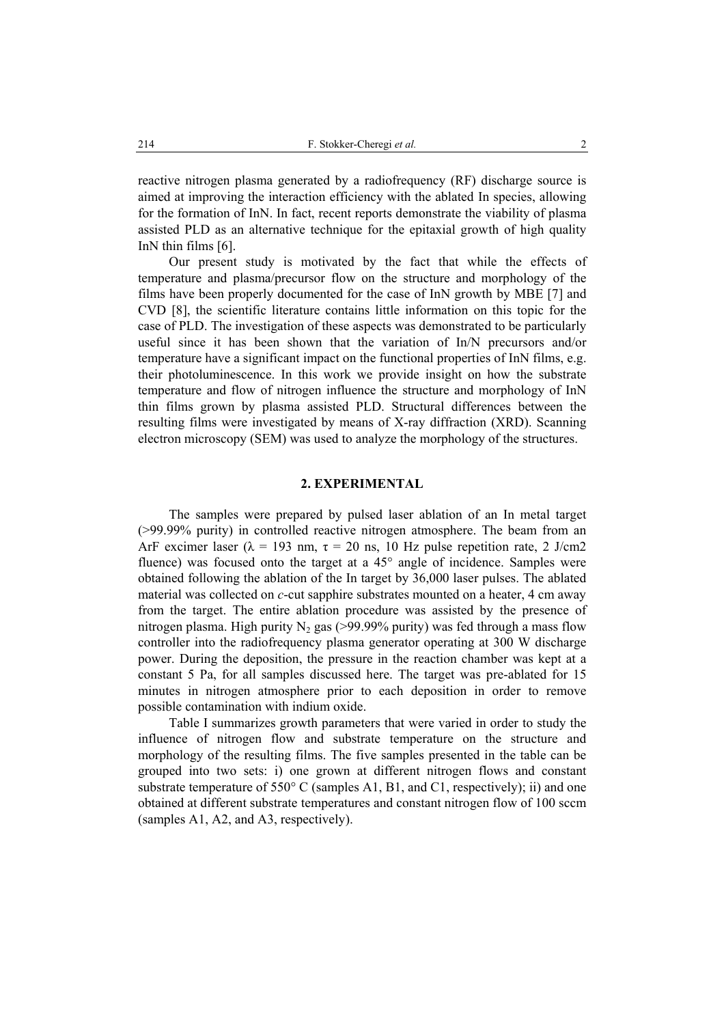reactive nitrogen plasma generated by a radiofrequency (RF) discharge source is aimed at improving the interaction efficiency with the ablated In species, allowing for the formation of InN. In fact, recent reports demonstrate the viability of plasma assisted PLD as an alternative technique for the epitaxial growth of high quality InN thin films [6].

Our present study is motivated by the fact that while the effects of temperature and plasma/precursor flow on the structure and morphology of the films have been properly documented for the case of InN growth by MBE [7] and CVD [8], the scientific literature contains little information on this topic for the case of PLD. The investigation of these aspects was demonstrated to be particularly useful since it has been shown that the variation of In/N precursors and/or temperature have a significant impact on the functional properties of InN films, e.g. their photoluminescence. In this work we provide insight on how the substrate temperature and flow of nitrogen influence the structure and morphology of InN thin films grown by plasma assisted PLD. Structural differences between the resulting films were investigated by means of X-ray diffraction (XRD). Scanning electron microscopy (SEM) was used to analyze the morphology of the structures.

#### **2. EXPERIMENTAL**

 The samples were prepared by pulsed laser ablation of an In metal target (>99.99% purity) in controlled reactive nitrogen atmosphere. The beam from an ArF excimer laser ( $\lambda = 193$  nm,  $\tau = 20$  ns, 10 Hz pulse repetition rate, 2 J/cm2 fluence) was focused onto the target at a 45° angle of incidence. Samples were obtained following the ablation of the In target by 36,000 laser pulses. The ablated material was collected on *c*-cut sapphire substrates mounted on a heater, 4 cm away from the target. The entire ablation procedure was assisted by the presence of nitrogen plasma. High purity  $N_2$  gas (>99.99% purity) was fed through a mass flow controller into the radiofrequency plasma generator operating at 300 W discharge power. During the deposition, the pressure in the reaction chamber was kept at a constant 5 Pa, for all samples discussed here. The target was pre-ablated for 15 minutes in nitrogen atmosphere prior to each deposition in order to remove possible contamination with indium oxide.

 Table I summarizes growth parameters that were varied in order to study the influence of nitrogen flow and substrate temperature on the structure and morphology of the resulting films. The five samples presented in the table can be grouped into two sets: i) one grown at different nitrogen flows and constant substrate temperature of  $550^{\circ}$  C (samples A1, B1, and C1, respectively); ii) and one obtained at different substrate temperatures and constant nitrogen flow of 100 sccm (samples A1, A2, and A3, respectively).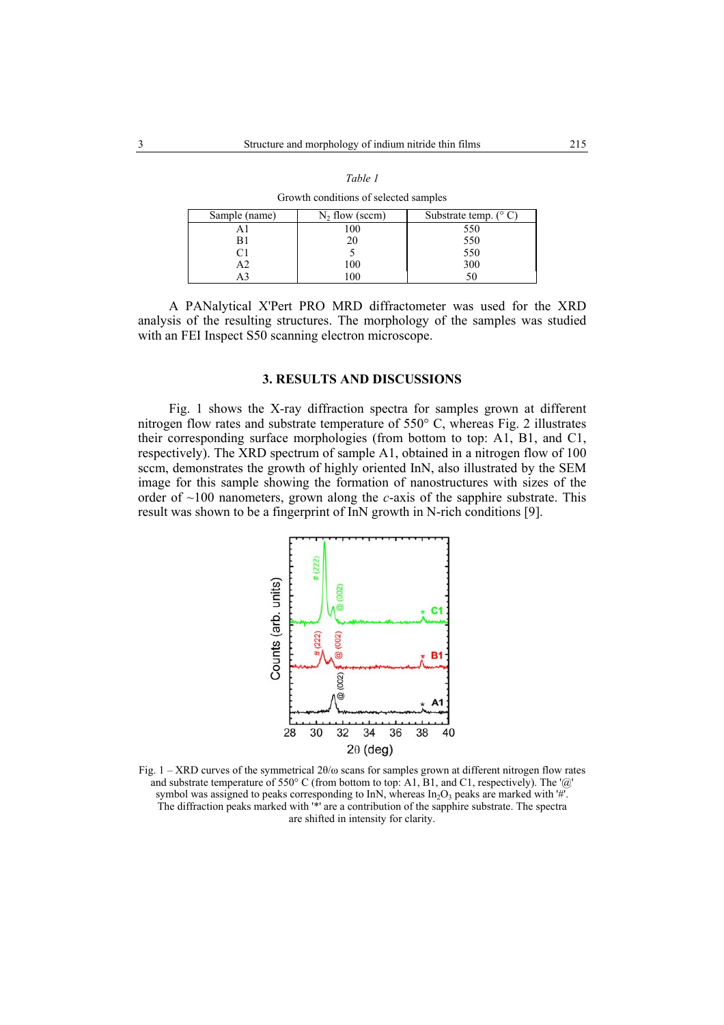| STOWIN CONGITIONS OF SCREEGE SHIPPICS |                   |                                |
|---------------------------------------|-------------------|--------------------------------|
| Sample (name)                         | $N_2$ flow (sccm) | Substrate temp. $(^{\circ}$ C) |
|                                       | 100               | 550                            |
| B1                                    | 20                | 550                            |
|                                       |                   | 550                            |
| А2                                    | 100               | 300                            |
|                                       | 100               |                                |

*Table 1*

Growth conditions of selected samples

 A PANalytical X'Pert PRO MRD diffractometer was used for the XRD analysis of the resulting structures. The morphology of the samples was studied with an FEI Inspect S50 scanning electron microscope.

### **3. RESULTS AND DISCUSSIONS**

 Fig. 1 shows the X-ray diffraction spectra for samples grown at different nitrogen flow rates and substrate temperature of 550° C, whereas Fig. 2 illustrates their corresponding surface morphologies (from bottom to top: A1, B1, and C1, respectively). The XRD spectrum of sample A1, obtained in a nitrogen flow of 100 sccm, demonstrates the growth of highly oriented InN, also illustrated by the SEM image for this sample showing the formation of nanostructures with sizes of the order of ~100 nanometers, grown along the *c*-axis of the sapphire substrate. This result was shown to be a fingerprint of InN growth in N-rich conditions [9].



Fig. 1 – XRD curves of the symmetrical 2θ/ω scans for samples grown at different nitrogen flow rates and substrate temperature of 550° C (from bottom to top: A1, B1, and C1, respectively). The ' $@$ ' symbol was assigned to peaks corresponding to InN, whereas  $In<sub>2</sub>O<sub>3</sub>$  peaks are marked with '#'. The diffraction peaks marked with '\*' are a contribution of the sapphire substrate. The spectra are shifted in intensity for clarity.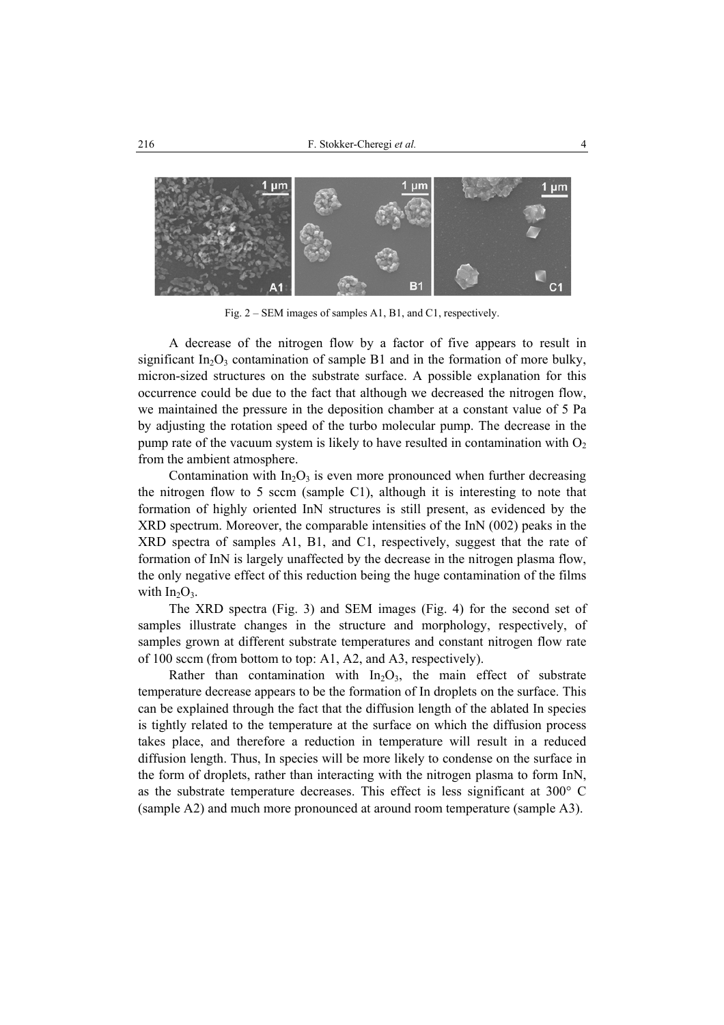

Fig. 2 – SEM images of samples A1, B1, and C1, respectively.

 A decrease of the nitrogen flow by a factor of five appears to result in significant  $In_2O_3$  contamination of sample B1 and in the formation of more bulky, micron-sized structures on the substrate surface. A possible explanation for this occurrence could be due to the fact that although we decreased the nitrogen flow, we maintained the pressure in the deposition chamber at a constant value of 5 Pa by adjusting the rotation speed of the turbo molecular pump. The decrease in the pump rate of the vacuum system is likely to have resulted in contamination with  $O<sub>2</sub>$ from the ambient atmosphere.

Contamination with  $In_2O_3$  is even more pronounced when further decreasing the nitrogen flow to 5 sccm (sample C1), although it is interesting to note that formation of highly oriented InN structures is still present, as evidenced by the XRD spectrum. Moreover, the comparable intensities of the InN (002) peaks in the XRD spectra of samples A1, B1, and C1, respectively, suggest that the rate of formation of InN is largely unaffected by the decrease in the nitrogen plasma flow, the only negative effect of this reduction being the huge contamination of the films with  $In_2O_3$ .

 The XRD spectra (Fig. 3) and SEM images (Fig. 4) for the second set of samples illustrate changes in the structure and morphology, respectively, of samples grown at different substrate temperatures and constant nitrogen flow rate of 100 sccm (from bottom to top: A1, A2, and A3, respectively).

Rather than contamination with  $In_2O_3$ , the main effect of substrate temperature decrease appears to be the formation of In droplets on the surface. This can be explained through the fact that the diffusion length of the ablated In species is tightly related to the temperature at the surface on which the diffusion process takes place, and therefore a reduction in temperature will result in a reduced diffusion length. Thus, In species will be more likely to condense on the surface in the form of droplets, rather than interacting with the nitrogen plasma to form InN, as the substrate temperature decreases. This effect is less significant at 300° C (sample A2) and much more pronounced at around room temperature (sample A3).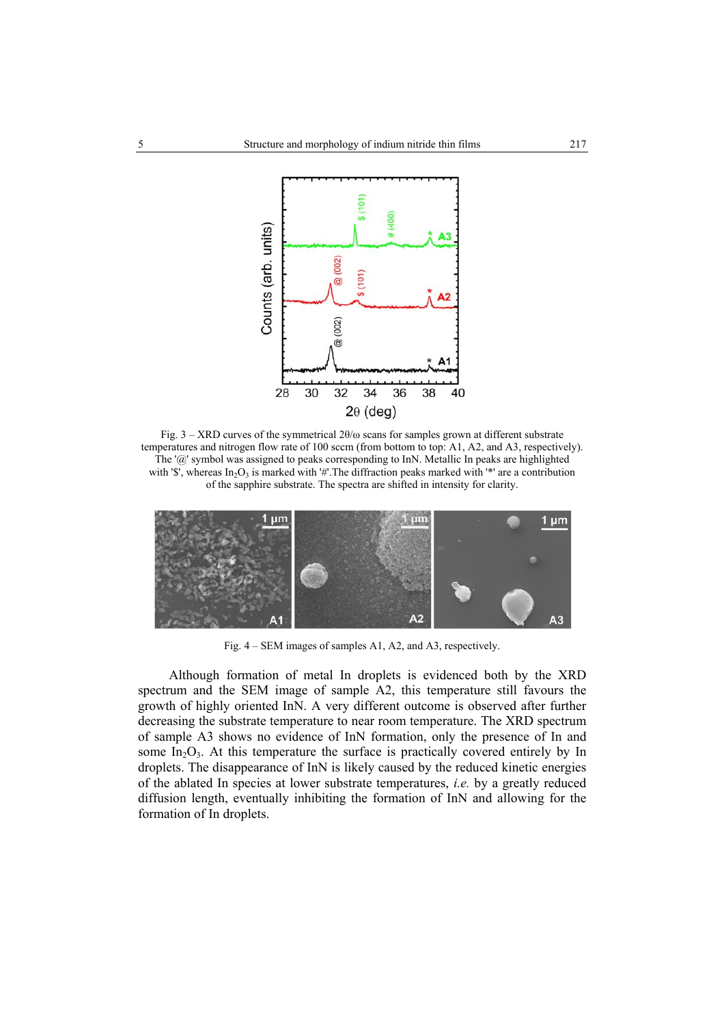

Fig.  $3 - XRD$  curves of the symmetrical  $2\theta/\omega$  scans for samples grown at different substrate temperatures and nitrogen flow rate of 100 sccm (from bottom to top: A1, A2, and A3, respectively). The '@' symbol was assigned to peaks corresponding to InN. Metallic In peaks are highlighted with '\$', whereas  $In_2O_3$  is marked with '#'. The diffraction peaks marked with '\*' are a contribution of the sapphire substrate. The spectra are shifted in intensity for clarity.



Fig. 4 – SEM images of samples A1, A2, and A3, respectively.

 Although formation of metal In droplets is evidenced both by the XRD spectrum and the SEM image of sample A2, this temperature still favours the growth of highly oriented InN. A very different outcome is observed after further decreasing the substrate temperature to near room temperature. The XRD spectrum of sample A3 shows no evidence of InN formation, only the presence of In and some  $In_2O_3$ . At this temperature the surface is practically covered entirely by In droplets. The disappearance of InN is likely caused by the reduced kinetic energies of the ablated In species at lower substrate temperatures, *i.e.* by a greatly reduced diffusion length, eventually inhibiting the formation of InN and allowing for the formation of In droplets.